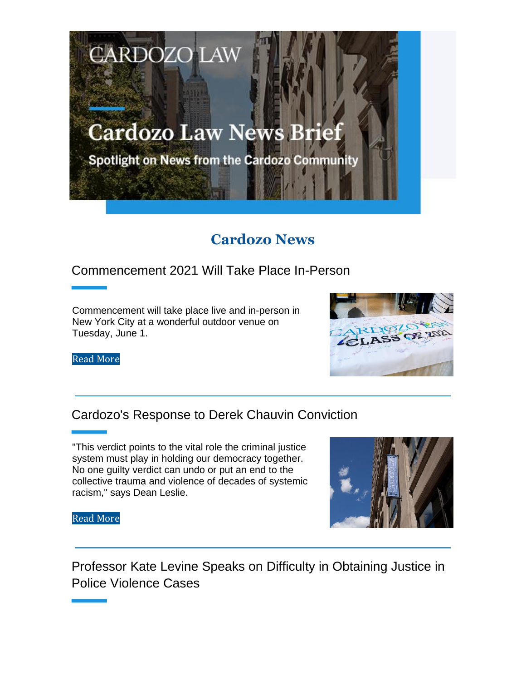# **Cardozo Law News Brief**

**CARDOZO LAW** 

Spotlight on News from the Cardozo Community

# **Cardozo News**

### Commencement 2021 Will Take Place In-Person

Commencement will take place live and in-person in New York City at a wonderful outdoor venue on Tuesday, June 1.



Read More

## Cardozo's Response to Derek Chauvin Conviction

"This verdict points to the vital role the criminal justice system must play in holding our democracy together. No one guilty verdict can undo or put an end to the collective trauma and violence of decades of systemic racism," says Dean Leslie.



Read More

Professor Kate Levine Speaks on Difficulty in Obtaining Justice in Police Violence Cases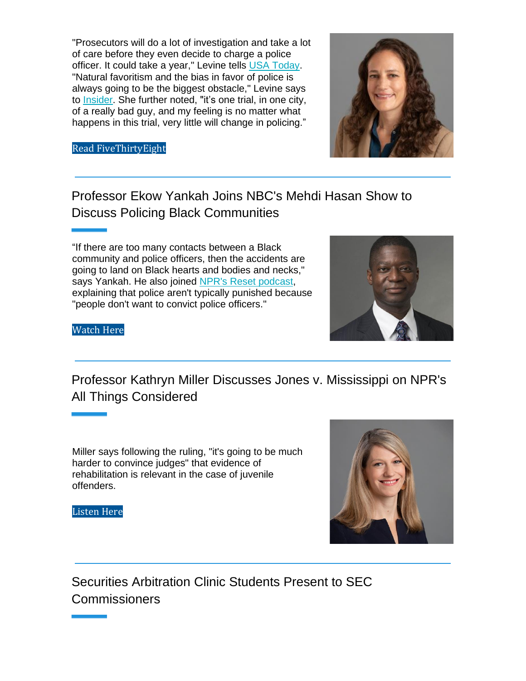"Prosecutors will do a lot of investigation and take a lot of care before they even decide to charge a police officer. It could take a year," Levine tells USA Today. "Natural favoritism and the bias in favor of police is always going to be the biggest obstacle," Levine says to Insider. She further noted, "it's one trial, in one city, of a really bad guy, and my feeling is no matter what happens in this trial, very little will change in policing."



#### Read FiveThirtyEight

Professor Ekow Yankah Joins NBC's Mehdi Hasan Show to Discuss Policing Black Communities

"If there are too many contacts between a Black community and police officers, then the accidents are going to land on Black hearts and bodies and necks," says Yankah. He also joined NPR's Reset podcast, explaining that police aren't typically punished because "people don't want to convict police officers."



#### Watch Here

Professor Kathryn Miller Discusses Jones v. Mississippi on NPR's All Things Considered

Miller says following the ruling, "it's going to be much harder to convince judges" that evidence of rehabilitation is relevant in the case of juvenile offenders.

Listen Here

Securities Arbitration Clinic Students Present to SEC **Commissioners**